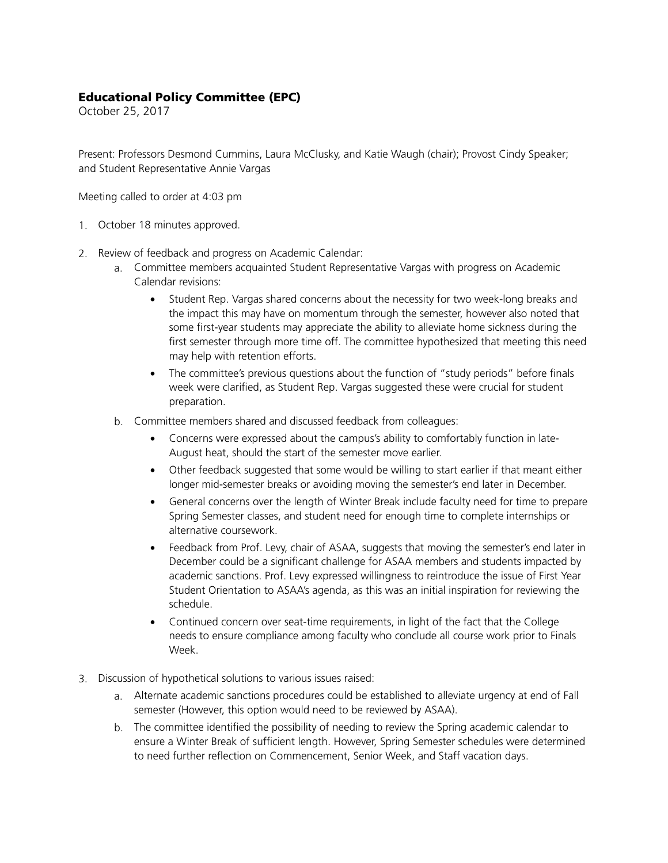## Educational Policy Committee (EPC)

October 25, 2017

Present: Professors Desmond Cummins, Laura McClusky, and Katie Waugh (chair); Provost Cindy Speaker; and Student Representative Annie Vargas

Meeting called to order at 4:03 pm

- 1. October 18 minutes approved.
- 2. Review of feedback and progress on Academic Calendar:
	- a. Committee members acquainted Student Representative Vargas with progress on Academic Calendar revisions:
		- Student Rep. Vargas shared concerns about the necessity for two week-long breaks and the impact this may have on momentum through the semester, however also noted that some first-year students may appreciate the ability to alleviate home sickness during the first semester through more time off. The committee hypothesized that meeting this need may help with retention efforts.
		- The committee's previous questions about the function of "study periods" before finals week were clarified, as Student Rep. Vargas suggested these were crucial for student preparation.
	- b. Committee members shared and discussed feedback from colleagues:
		- Concerns were expressed about the campus's ability to comfortably function in late-August heat, should the start of the semester move earlier.
		- Other feedback suggested that some would be willing to start earlier if that meant either longer mid-semester breaks or avoiding moving the semester's end later in December.
		- General concerns over the length of Winter Break include faculty need for time to prepare Spring Semester classes, and student need for enough time to complete internships or alternative coursework.
		- Feedback from Prof. Levy, chair of ASAA, suggests that moving the semester's end later in December could be a significant challenge for ASAA members and students impacted by academic sanctions. Prof. Levy expressed willingness to reintroduce the issue of First Year Student Orientation to ASAA's agenda, as this was an initial inspiration for reviewing the schedule.
		- Continued concern over seat-time requirements, in light of the fact that the College needs to ensure compliance among faculty who conclude all course work prior to Finals Week.
- 3. Discussion of hypothetical solutions to various issues raised:
	- a. Alternate academic sanctions procedures could be established to alleviate urgency at end of Fall semester (However, this option would need to be reviewed by ASAA).
	- b. The committee identified the possibility of needing to review the Spring academic calendar to ensure a Winter Break of sufficient length. However, Spring Semester schedules were determined to need further reflection on Commencement, Senior Week, and Staff vacation days.